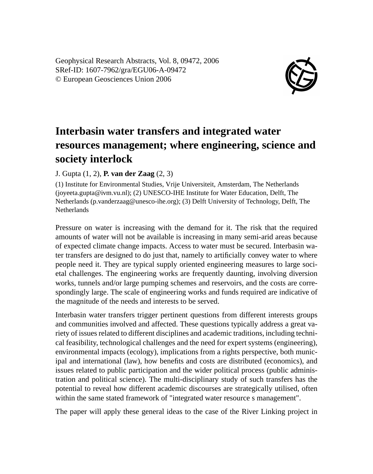Geophysical Research Abstracts, Vol. 8, 09472, 2006 SRef-ID: 1607-7962/gra/EGU06-A-09472 © European Geosciences Union 2006



## **Interbasin water transfers and integrated water resources management; where engineering, science and society interlock**

## J. Gupta (1, 2), **P. van der Zaag** (2, 3)

(1) Institute for Environmental Studies, Vrije Universiteit, Amsterdam, The Netherlands (joyeeta.gupta@ivm.vu.nl); (2) UNESCO-IHE Institute for Water Education, Delft, The Netherlands (p.vanderzaag@unesco-ihe.org); (3) Delft University of Technology, Delft, The **Netherlands** 

Pressure on water is increasing with the demand for it. The risk that the required amounts of water will not be available is increasing in many semi-arid areas because of expected climate change impacts. Access to water must be secured. Interbasin water transfers are designed to do just that, namely to artificially convey water to where people need it. They are typical supply oriented engineering measures to large societal challenges. The engineering works are frequently daunting, involving diversion works, tunnels and/or large pumping schemes and reservoirs, and the costs are correspondingly large. The scale of engineering works and funds required are indicative of the magnitude of the needs and interests to be served.

Interbasin water transfers trigger pertinent questions from different interests groups and communities involved and affected. These questions typically address a great variety of issues related to different disciplines and academic traditions, including technical feasibility, technological challenges and the need for expert systems (engineering), environmental impacts (ecology), implications from a rights perspective, both municipal and international (law), how benefits and costs are distributed (economics), and issues related to public participation and the wider political process (public administration and political science). The multi-disciplinary study of such transfers has the potential to reveal how different academic discourses are strategically utilised, often within the same stated framework of "integrated water resource s management".

The paper will apply these general ideas to the case of the River Linking project in